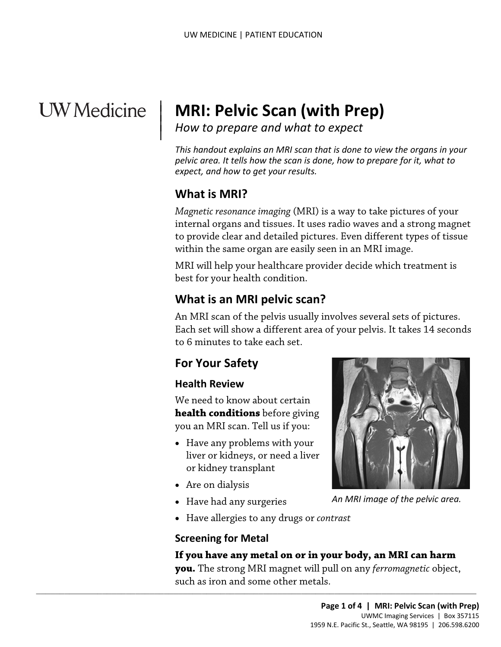# **UW** Medicine

# <sup>|</sup>**MRI: Pelvic Scan (with Prep)** | *How to prepare and what to expect* <sup>|</sup>

 *This handout explains an MRI scan that is done to view the organs in your pelvic area. It tells how the scan is done, how to prepare for it, what to expect, and how to get your results.* 

# **What is MRI?**

 $\overline{\phantom{a}}$ 

 *Magnetic resonance imaging* (MRI) is a way to take pictures of your internal organs and tissues. It uses radio waves and a strong magnet to provide clear and detailed pictures. Even different types of tissue within the same organ are easily seen in an MRI image.

 best for your health condition. MRI will help your healthcare provider decide which treatment is

# **What is an MRI pelvic scan?**

within the same organ are easily seen in an MRI image.<br>MRI will help your healthcare provider decide which treatment<br>best for your health condition.<br>**What is an MRI pelvic scan?**<br>An MRI scan of the pelvis usually involves An MRI scan of the pelvis usually involves several sets of pictures. Each set will show a different area of your pelvis. It takes 14 seconds to 6 minutes to take each set.

## **For Your Safety**

#### **Health Review**

 you an MRI scan. Tell us if you: We need to know about certain **health conditions** before giving

- Have any problems with your liver or kidneys, or need a liver or kidney transplant
- Are on dialysis
- Have had any surgeries
- Have allergies to any drugs or *contrast*

 $\_$  , and the set of the set of the set of the set of the set of the set of the set of the set of the set of the set of the set of the set of the set of the set of the set of the set of the set of the set of the set of th

#### **Screening for Metal**

#### **If you have any metal on or in your body, an MRI can harm**

 **you.** The strong MRI magnet will pull on any *ferromagnetic* object, such as iron and some other metals.



*An MRI image of the pelvic area.*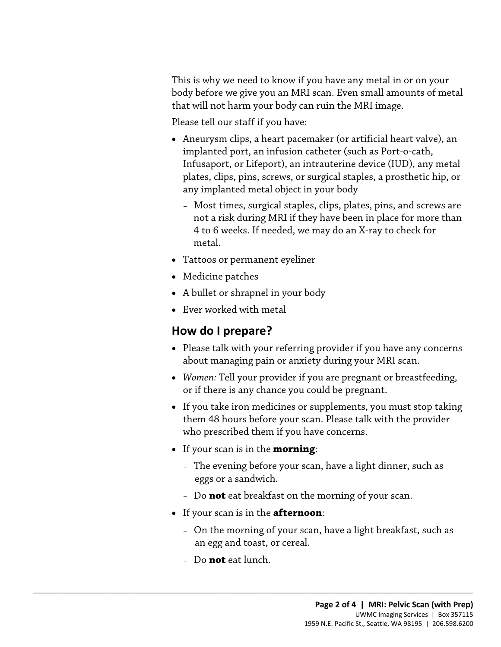This is why we need to know if you have any metal in or on your body before we give you an MRI scan. Even small amounts of metal that will not harm your body can ruin the MRI image.

Please tell our staff if you have:

- Aneurysm clips, a heart pacemaker (or artificial heart valve), an implanted port, an infusion catheter (such as Port-o-cath, Infusaport, or Lifeport), an intrauterine device (IUD), any metal plates, clips, pins, screws, or surgical staples, a prosthetic hip, or any implanted metal object in your body
	- Most times, surgical staples, clips, plates, pins, and screws are not a risk during MRI if they have been in place for more than 4 to 6 weeks. If needed, we may do an X-ray to check for metal.
- Tattoos or permanent eyeliner
- Medicine patches
- A bullet or shrapnel in your body
- Ever worked with metal

# **How do I prepare?**

- • Please talk with your referring provider if you have any concerns • Tattoos or permanent eyeliner<br>
• Medicine patches<br>
• A bullet or shrapnel in your body<br>
• Ever worked with metal<br> **How do I prepare?**<br>
• Please talk with your referring provider if you have any concern about managing pain or anxiety during your MRI scan.
	- *Women:* Tell your provider if you are pregnant or breastfeeding, or if there is any chance you could be pregnant.
	- If you take iron medicines or supplements, you must stop taking them 48 hours before your scan. Please talk with the provider who prescribed them if you have concerns.
	- If your scan is in the **morning**:
		- The evening before your scan, have a light dinner, such as eggs or a sandwich.
		- Do **not** eat breakfast on the morning of your scan.
	- If your scan is in the **afternoon**:

 $\_$  ,  $\_$  ,  $\_$  ,  $\_$  ,  $\_$  ,  $\_$  ,  $\_$  ,  $\_$  ,  $\_$  ,  $\_$  ,  $\_$  ,  $\_$  ,  $\_$  ,  $\_$  ,  $\_$  ,  $\_$  ,  $\_$  ,  $\_$  ,  $\_$  ,  $\_$  ,  $\_$  ,  $\_$  ,  $\_$  ,  $\_$  ,  $\_$  ,  $\_$  ,  $\_$  ,  $\_$  ,  $\_$  ,  $\_$  ,  $\_$  ,  $\_$  ,  $\_$  ,  $\_$  ,  $\_$  ,  $\_$  ,  $\_$  ,

- On the morning of your scan, have a light breakfast, such as an egg and toast, or cereal.
- Do **not** eat lunch.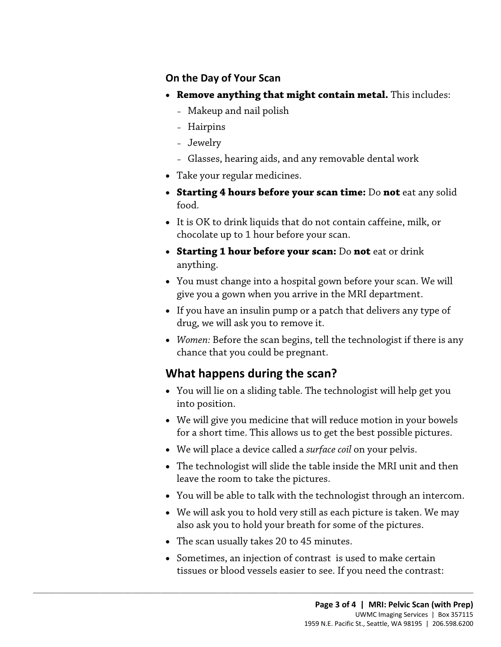#### **On the Day of Your Scan**

- • **Remove anything that might contain metal.** This includes:
	- Makeup and nail polish
	- Hairpins
	- Jewelry
	- Glasses, hearing aids, and any removable dental work
- Take your regular medicines.
- • **Starting 4 hours before your scan time:** Do **not** eat any solid food.
- It is OK to drink liquids that do not contain caffeine, milk, or chocolate up to 1 hour before your scan.
- **Starting 1 hour before your scan:** Do **not** eat or drink anything.
- anything.<br>
 You must change into a hospital gown before your scan. We will<br>
give you a gown when you arrive in the MRI department.<br>
 If you have an insulin pump or a patch that delivers any type of<br>
drug, we will ask you • You must change into a hospital gown before your scan. We will give you a gown when you arrive in the MRI department.
	- drug, we will ask you to remove it. • If you have an insulin pump or a patch that delivers any type of
	- *Women:* Before the scan begins, tell the technologist if there is any chance that you could be pregnant.

# **What happens during the scan?**

- You will lie on a sliding table. The technologist will help get you into position.
- • We will give you medicine that will reduce motion in your bowels for a short time. This allows us to get the best possible pictures.
- We will place a device called a *surface coil* on your pelvis.
- The technologist will slide the table inside the MRI unit and then leave the room to take the pictures.
- You will be able to talk with the [technologist](javascript:glossAry() through an intercom.
- We will ask you to hold very still as each picture is taken. We may also ask you to hold your breath for some of the pictures.
- The scan usually takes 20 to 45 minutes.

 $\_$  ,  $\_$  ,  $\_$  ,  $\_$  ,  $\_$  ,  $\_$  ,  $\_$  ,  $\_$  ,  $\_$  ,  $\_$  ,  $\_$  ,  $\_$  ,  $\_$  ,  $\_$  ,  $\_$  ,  $\_$  ,  $\_$  ,  $\_$  ,  $\_$  ,  $\_$  ,  $\_$  ,  $\_$  ,  $\_$  ,  $\_$  ,  $\_$  ,  $\_$  ,  $\_$  ,  $\_$  ,  $\_$  ,  $\_$  ,  $\_$  ,  $\_$  ,  $\_$  ,  $\_$  ,  $\_$  ,  $\_$  ,  $\_$  ,

• Sometimes, an injection of [contrast](javascript:glossAry() is used to make certain tissues or blood vessels easier to see. If you need the contrast: